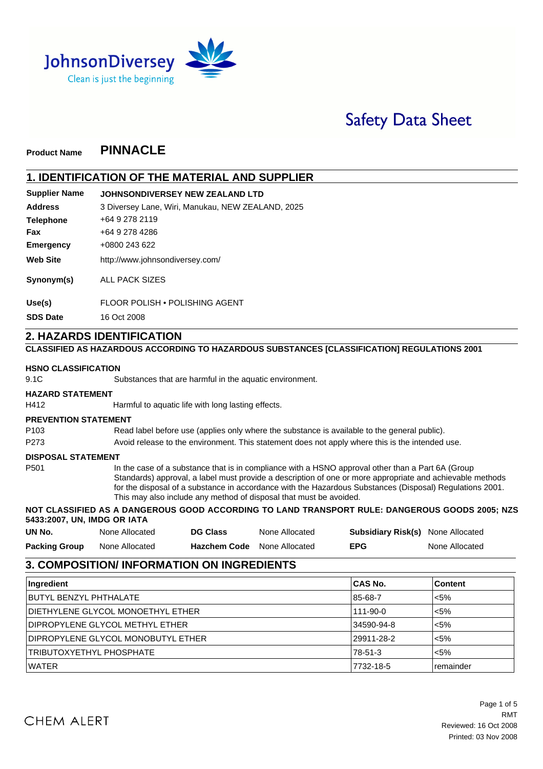

# **Safety Data Sheet**

#### **PINNACLE Product Name**

#### **1. IDENTIFICATION OF THE MATERIAL AND SUPPLIER**

#### **JOHNSONDIVERSEY NEW ZEALAND LTD Supplier Name**

3 Diversey Lane, Wiri, Manukau, NEW ZEALAND, 2025 **Address**

| Telephone       | +64 9 278 2119                  |
|-----------------|---------------------------------|
| Fax             | +64 9 278 4286                  |
| Emergency       | +0800 243 622                   |
| <b>Web Site</b> | http://www.johnsondiversey.com/ |
| Synonym(s)      | <b>ALL PACK SIZES</b>           |
|                 |                                 |

FLOOR POLISH • POLISHING AGENT **Use(s)**

16 Oct 2008 **SDS Date**

## **2. HAZARDS IDENTIFICATION**

#### **CLASSIFIED AS HAZARDOUS ACCORDING TO HAZARDOUS SUBSTANCES [CLASSIFICATION] REGULATIONS 2001**

#### **HSNO CLASSIFICATION**

9.1C Substances that are harmful in the aquatic environment.

#### **HAZARD STATEMENT**

H412 Harmful to aquatic life with long lasting effects.

#### **PREVENTION STATEMENT**

P103 Read label before use (applies only where the substance is available to the general public).

P273 Avoid release to the environment. This statement does not apply where this is the intended use.

#### **DISPOSAL STATEMENT**

P501 In the case of a substance that is in compliance with a HSNO approval other than a Part 6A (Group Standards) approval, a label must provide a description of one or more appropriate and achievable methods for the disposal of a substance in accordance with the Hazardous Substances (Disposal) Regulations 2001. This may also include any method of disposal that must be avoided.

## **NOT CLASSIFIED AS A DANGEROUS GOOD ACCORDING TO LAND TRANSPORT RULE: DANGEROUS GOODS 2005; NZS**

## **5433:2007, UN, IMDG OR IATA**

| UN No.               | None Allocated | <b>DG Class</b>                    | None Allocated | <b>Subsidiary Risk(s)</b> None Allocated |                |
|----------------------|----------------|------------------------------------|----------------|------------------------------------------|----------------|
| <b>Packing Group</b> | None Allocated | <b>Hazchem Code</b> None Allocated |                | <b>EPG</b>                               | None Allocated |

## **3. COMPOSITION/ INFORMATION ON INGREDIENTS**

| Ingredient                         | <b>CAS No.</b> | <b>Content</b> |
|------------------------------------|----------------|----------------|
| BUTYL BENZYL PHTHALATE             | 85-68-7        | $< 5\%$        |
| DIETHYLENE GLYCOL MONOETHYL ETHER  | $111 - 90 - 0$ | $< 5\%$        |
| DIPROPYLENE GLYCOL METHYL ETHER    | 34590-94-8     | $< 5\%$        |
| DIPROPYLENE GLYCOL MONOBUTYL ETHER | 29911-28-2     | < 5%           |
| TRIBUTOXYETHYL PHOSPHATE           | 78-51-3        | < 5%           |
| <b>WATER</b>                       | 7732-18-5      | remainder      |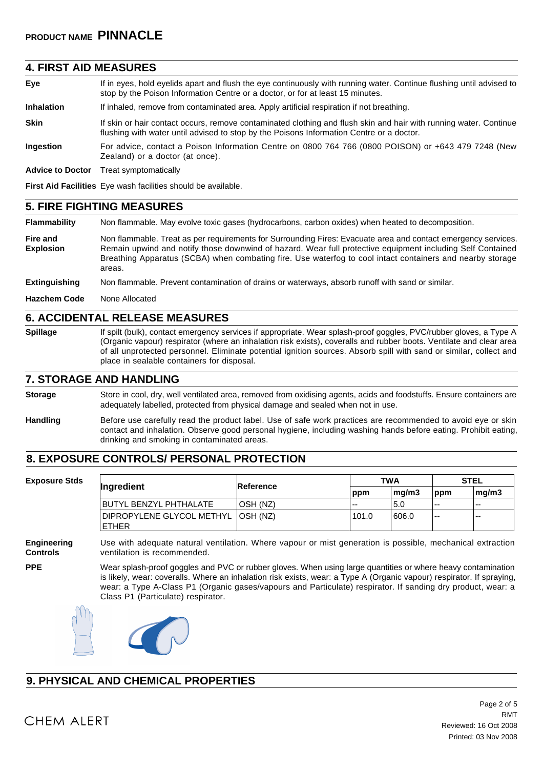#### **4. FIRST AID MEASURES**

| Eye                     | If in eyes, hold eyelids apart and flush the eye continuously with running water. Continue flushing until advised to<br>stop by the Poison Information Centre or a doctor, or for at least 15 minutes.        |
|-------------------------|---------------------------------------------------------------------------------------------------------------------------------------------------------------------------------------------------------------|
| <b>Inhalation</b>       | If inhaled, remove from contaminated area. Apply artificial respiration if not breathing.                                                                                                                     |
| <b>Skin</b>             | If skin or hair contact occurs, remove contaminated clothing and flush skin and hair with running water. Continue<br>flushing with water until advised to stop by the Poisons Information Centre or a doctor. |
| <b>Ingestion</b>        | For advice, contact a Poison Information Centre on 0800 764 766 (0800 POISON) or +643 479 7248 (New<br>Zealand) or a doctor (at once).                                                                        |
| <b>Advice to Doctor</b> | Treat symptomatically                                                                                                                                                                                         |
|                         |                                                                                                                                                                                                               |

**First Aid Facilities** Eye wash facilities should be available.

#### **5. FIRE FIGHTING MEASURES**

**Flammability** Non flammable. May evolve toxic gases (hydrocarbons, carbon oxides) when heated to decomposition.

**Fire and Explosion** Non flammable. Treat as per requirements for Surrounding Fires: Evacuate area and contact emergency services. Remain upwind and notify those downwind of hazard. Wear full protective equipment including Self Contained Breathing Apparatus (SCBA) when combating fire. Use waterfog to cool intact containers and nearby storage areas.

#### **Extinguishing** Non flammable. Prevent contamination of drains or waterways, absorb runoff with sand or similar.

**Hazchem Code** None Allocated

### **6. ACCIDENTAL RELEASE MEASURES**

**Spillage** If spilt (bulk), contact emergency services if appropriate. Wear splash-proof goggles, PVC/rubber gloves, a Type A (Organic vapour) respirator (where an inhalation risk exists), coveralls and rubber boots. Ventilate and clear area of all unprotected personnel. Eliminate potential ignition sources. Absorb spill with sand or similar, collect and place in sealable containers for disposal.

#### **7. STORAGE AND HANDLING**

Store in cool, dry, well ventilated area, removed from oxidising agents, acids and foodstuffs. Ensure containers are adequately labelled, protected from physical damage and sealed when not in use. **Storage**

**Handling** Before use carefully read the product label. Use of safe work practices are recommended to avoid eye or skin contact and inhalation. Observe good personal hygiene, including washing hands before eating. Prohibit eating, drinking and smoking in contaminated areas.

## **8. EXPOSURE CONTROLS/ PERSONAL PROTECTION**

| <b>Exposure Stds</b>           | Ingredient                                                                                                                                                                                                                                                                                                                                                                                 | Reference |       | <b>TWA</b> |     | <b>STEL</b> |  |
|--------------------------------|--------------------------------------------------------------------------------------------------------------------------------------------------------------------------------------------------------------------------------------------------------------------------------------------------------------------------------------------------------------------------------------------|-----------|-------|------------|-----|-------------|--|
|                                |                                                                                                                                                                                                                                                                                                                                                                                            |           | ppm   | mq/m3      | ppm | mq/m3       |  |
|                                | <b>BUTYL BENZYL PHTHALATE</b>                                                                                                                                                                                                                                                                                                                                                              | OSH (NZ)  | --    | 5.0        | $-$ |             |  |
|                                | DIPROPYLENE GLYCOL METHYL<br><b>ETHER</b>                                                                                                                                                                                                                                                                                                                                                  | OSH (NZ)  | 101.0 | 606.0      | $-$ |             |  |
| Engineering<br><b>Controls</b> | Use with adequate natural ventilation. Where vapour or mist generation is possible, mechanical extraction<br>ventilation is recommended.                                                                                                                                                                                                                                                   |           |       |            |     |             |  |
| <b>PPE</b>                     | Wear splash-proof goggles and PVC or rubber gloves. When using large quantities or where heavy contamination<br>is likely, wear: coveralls. Where an inhalation risk exists, wear: a Type A (Organic vapour) respirator. If spraying,<br>wear: a Type A-Class P1 (Organic gases/vapours and Particulate) respirator. If sanding dry product, wear: a<br>Class P1 (Particulate) respirator. |           |       |            |     |             |  |



## **9. PHYSICAL AND CHEMICAL PROPERTIES**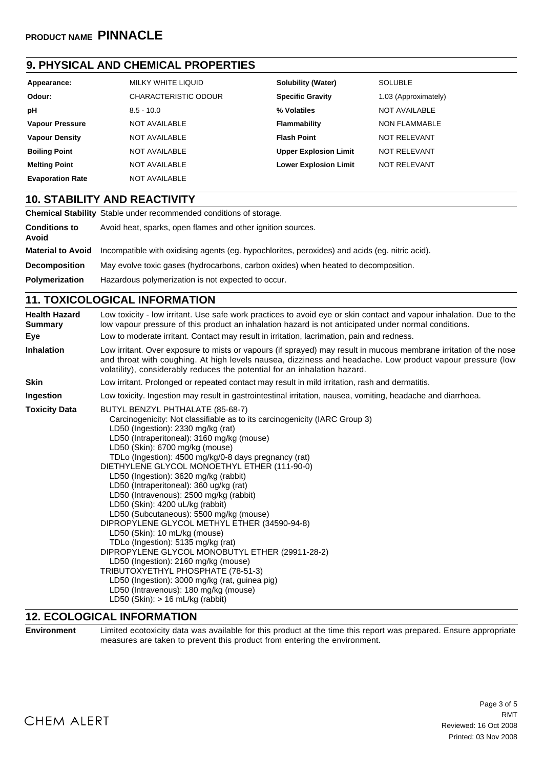## **9. PHYSICAL AND CHEMICAL PROPERTIES**

| Appearance:             | MILKY WHITE LIQUID   | <b>Solubility (Water)</b>    | <b>SOLUBLE</b>       |
|-------------------------|----------------------|------------------------------|----------------------|
| Odour:                  | CHARACTERISTIC ODOUR | <b>Specific Gravity</b>      | 1.03 (Approximately) |
| рH                      | $8.5 - 10.0$         | % Volatiles                  | <b>NOT AVAILABLE</b> |
| <b>Vapour Pressure</b>  | NOT AVAILABLE        | Flammability                 | <b>NON FLAMMABLE</b> |
| <b>Vapour Density</b>   | NOT AVAILABLE        | <b>Flash Point</b>           | <b>NOT RELEVANT</b>  |
| <b>Boiling Point</b>    | NOT AVAILABLE        | <b>Upper Explosion Limit</b> | NOT RELEVANT         |
| <b>Melting Point</b>    | NOT AVAILABLE        | <b>Lower Explosion Limit</b> | NOT RELEVANT         |
| <b>Evaporation Rate</b> | <b>NOT AVAILABLE</b> |                              |                      |

## **10. STABILITY AND REACTIVITY**

|                               | <b>Chemical Stability</b> Stable under recommended conditions of storage.                                               |
|-------------------------------|-------------------------------------------------------------------------------------------------------------------------|
| <b>Conditions to</b><br>Avoid | Avoid heat, sparks, open flames and other ignition sources.                                                             |
|                               | <b>Material to Avoid</b> Incompatible with oxidising agents (eg. hypochlorites, peroxides) and acids (eg. nitric acid). |
| <b>Decomposition</b>          | May evolve toxic gases (hydrocarbons, carbon oxides) when heated to decomposition.                                      |
| <b>Polymerization</b>         | Hazardous polymerization is not expected to occur.                                                                      |

## **11. TOXICOLOGICAL INFORMATION**

| <b>Health Hazard</b><br><b>Summary</b> | Low toxicity - low irritant. Use safe work practices to avoid eye or skin contact and vapour inhalation. Due to the<br>low vapour pressure of this product an inhalation hazard is not anticipated under normal conditions.                                                                                                                                                                                                                                                                                                                                                                                                                                                                                                                                                                                                                                                                                                                           |
|----------------------------------------|-------------------------------------------------------------------------------------------------------------------------------------------------------------------------------------------------------------------------------------------------------------------------------------------------------------------------------------------------------------------------------------------------------------------------------------------------------------------------------------------------------------------------------------------------------------------------------------------------------------------------------------------------------------------------------------------------------------------------------------------------------------------------------------------------------------------------------------------------------------------------------------------------------------------------------------------------------|
| Eye                                    | Low to moderate irritant. Contact may result in irritation, lacrimation, pain and redness.                                                                                                                                                                                                                                                                                                                                                                                                                                                                                                                                                                                                                                                                                                                                                                                                                                                            |
| <b>Inhalation</b>                      | Low irritant. Over exposure to mists or vapours (if sprayed) may result in mucous membrane irritation of the nose<br>and throat with coughing. At high levels nausea, dizziness and headache. Low product vapour pressure (low<br>volatility), considerably reduces the potential for an inhalation hazard.                                                                                                                                                                                                                                                                                                                                                                                                                                                                                                                                                                                                                                           |
| <b>Skin</b>                            | Low irritant. Prolonged or repeated contact may result in mild irritation, rash and dermatitis.                                                                                                                                                                                                                                                                                                                                                                                                                                                                                                                                                                                                                                                                                                                                                                                                                                                       |
| Ingestion                              | Low toxicity. Ingestion may result in gastrointestinal irritation, nausea, vomiting, headache and diarrhoea.                                                                                                                                                                                                                                                                                                                                                                                                                                                                                                                                                                                                                                                                                                                                                                                                                                          |
| <b>Toxicity Data</b>                   | BUTYL BENZYL PHTHALATE (85-68-7)<br>Carcinogenicity: Not classifiable as to its carcinogenicity (IARC Group 3)<br>LD50 (Ingestion): 2330 mg/kg (rat)<br>LD50 (Intraperitoneal): 3160 mg/kg (mouse)<br>LD50 (Skin): 6700 mg/kg (mouse)<br>TDLo (Ingestion): 4500 mg/kg/0-8 days pregnancy (rat)<br>DIETHYLENE GLYCOL MONOETHYL ETHER (111-90-0)<br>LD50 (Ingestion): 3620 mg/kg (rabbit)<br>LD50 (Intraperitoneal): 360 ug/kg (rat)<br>LD50 (Intravenous): 2500 mg/kg (rabbit)<br>LD50 (Skin): 4200 uL/kg (rabbit)<br>LD50 (Subcutaneous): 5500 mg/kg (mouse)<br>DIPROPYLENE GLYCOL METHYL ETHER (34590-94-8)<br>LD50 (Skin): 10 mL/kg (mouse)<br>TDLo (Ingestion): 5135 mg/kg (rat)<br>DIPROPYLENE GLYCOL MONOBUTYL ETHER (29911-28-2)<br>LD50 (Ingestion): 2160 mg/kg (mouse)<br>TRIBUTOXYETHYL PHOSPHATE (78-51-3)<br>LD50 (Ingestion): 3000 mg/kg (rat, guinea pig)<br>LD50 (Intravenous): 180 mg/kg (mouse)<br>LD50 (Skin): $> 16$ mL/kg (rabbit) |

## **12. ECOLOGICAL INFORMATION**

**Environment** Limited ecotoxicity data was available for this product at the time this report was prepared. Ensure appropriate measures are taken to prevent this product from entering the environment.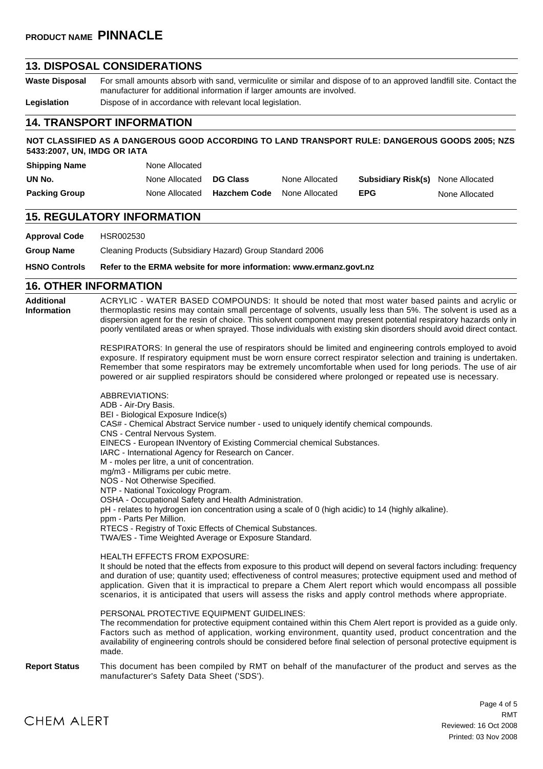### **13. DISPOSAL CONSIDERATIONS**

**Waste Disposal** For small amounts absorb with sand, vermiculite or similar and dispose of to an approved landfill site. Contact the manufacturer for additional information if larger amounts are involved.

**Legislation** Dispose of in accordance with relevant local legislation.

## **14. TRANSPORT INFORMATION**

#### **NOT CLASSIFIED AS A DANGEROUS GOOD ACCORDING TO LAND TRANSPORT RULE: DANGEROUS GOODS 2005; NZS 5433:2007, UN, IMDG OR IATA**

| <b>Shipping Name</b> | None Allocated |                     |                |                                          |                |
|----------------------|----------------|---------------------|----------------|------------------------------------------|----------------|
| UN No.               | None Allocated | <b>DG Class</b>     | None Allocated | <b>Subsidiary Risk(s)</b> None Allocated |                |
| <b>Packing Group</b> | None Allocated | <b>Hazchem Code</b> | None Allocated | <b>EPG</b>                               | None Allocated |

### **15. REGULATORY INFORMATION**

**Approval Code** HSR002530 **Group Name** Cleaning Products (Subsidiary Hazard) Group Standard 2006

#### **HSNO Controls Refer to the ERMA website for more information: www.ermanz.govt.nz**

### **16. OTHER INFORMATION**

**Additional Information** ACRYLIC - WATER BASED COMPOUNDS: It should be noted that most water based paints and acrylic or thermoplastic resins may contain small percentage of solvents, usually less than 5%. The solvent is used as a dispersion agent for the resin of choice. This solvent component may present potential respiratory hazards only in poorly ventilated areas or when sprayed. Those individuals with existing skin disorders should avoid direct contact.

> RESPIRATORS: In general the use of respirators should be limited and engineering controls employed to avoid exposure. If respiratory equipment must be worn ensure correct respirator selection and training is undertaken. Remember that some respirators may be extremely uncomfortable when used for long periods. The use of air powered or air supplied respirators should be considered where prolonged or repeated use is necessary.

> ABBREVIATIONS: ADB - Air-Dry Basis. BEI - Biological Exposure Indice(s) CAS# - Chemical Abstract Service number - used to uniquely identify chemical compounds. CNS - Central Nervous System. EINECS - European INventory of Existing Commercial chemical Substances. IARC - International Agency for Research on Cancer. M - moles per litre, a unit of concentration. mg/m3 - Milligrams per cubic metre. NOS - Not Otherwise Specified. NTP - National Toxicology Program. OSHA - Occupational Safety and Health Administration. pH - relates to hydrogen ion concentration using a scale of 0 (high acidic) to 14 (highly alkaline). ppm - Parts Per Million. RTECS - Registry of Toxic Effects of Chemical Substances. TWA/ES - Time Weighted Average or Exposure Standard. HEALTH EFFECTS FROM EXPOSURE: It should be noted that the effects from exposure to this product will depend on several factors including: frequency

> and duration of use; quantity used; effectiveness of control measures; protective equipment used and method of application. Given that it is impractical to prepare a Chem Alert report which would encompass all possible scenarios, it is anticipated that users will assess the risks and apply control methods where appropriate.

PERSONAL PROTECTIVE EQUIPMENT GUIDELINES: The recommendation for protective equipment contained within this Chem Alert report is provided as a guide only. Factors such as method of application, working environment, quantity used, product concentration and the availability of engineering controls should be considered before final selection of personal protective equipment is made.

**Report Status** This document has been compiled by RMT on behalf of the manufacturer of the product and serves as the manufacturer's Safety Data Sheet ('SDS').